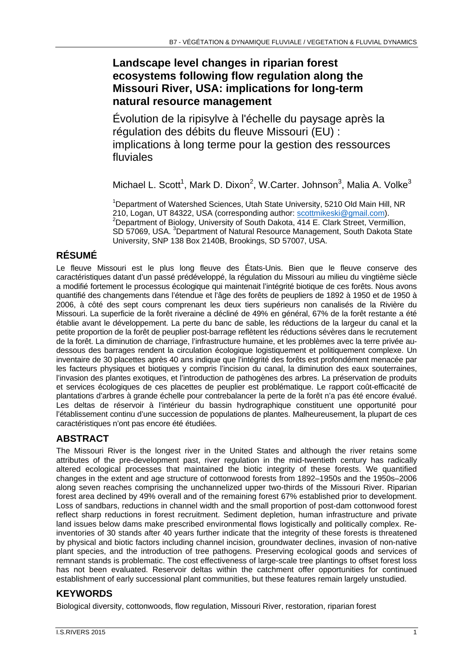# **Landscape level changes in riparian forest ecosystems following flow regulation along the Missouri River, USA: implications for long-term natural resource management**

Évolution de la ripisylve à l'échelle du paysage après la régulation des débits du fleuve Missouri (EU) : implications à long terme pour la gestion des ressources fluviales

Michael L. Scott<sup>1</sup>, Mark D. Dixon<sup>2</sup>, W.Carter. Johnson<sup>3</sup>, Malia A. Volke<sup>3</sup>

<sup>1</sup>Department of Watershed Sciences, Utah State University, 5210 Old Main Hill, NR 210, Logan, UT 84322, USA (corresponding author: scottmikeski@gmail.com). <sup>2</sup> Department of Biology, University of South Dakota,  $\overline{414}$  E. Clark Street, Vermillion, SD 57069, USA. <sup>3</sup>Department of Natural Resource Management, South Dakota State University, SNP 138 Box 2140B, Brookings, SD 57007, USA.

# **RÉSUMÉ**

Le fleuve Missouri est le plus long fleuve des États-Unis. Bien que le fleuve conserve des caractéristiques datant d'un passé prédéveloppé, la régulation du Missouri au milieu du vingtième siècle a modifié fortement le processus écologique qui maintenait l'intégrité biotique de ces forêts. Nous avons quantifié des changements dans l'étendue et l'âge des forêts de peupliers de 1892 à 1950 et de 1950 à 2006, à côté des sept cours comprenant les deux tiers supérieurs non canalisés de la Rivière du Missouri. La superficie de la forêt riveraine a décliné de 49% en général, 67% de la forêt restante a été établie avant le développement. La perte du banc de sable, les réductions de la largeur du canal et la petite proportion de la forêt de peuplier post-barrage reflètent les réductions sévères dans le recrutement de la forêt. La diminution de charriage, l'infrastructure humaine, et les problèmes avec la terre privée audessous des barrages rendent la circulation écologique logistiquement et politiquement complexe. Un inventaire de 30 placettes après 40 ans indique que l'intégrité des forêts est profondément menacée par les facteurs physiques et biotiques y compris l'incision du canal, la diminution des eaux souterraines, l'invasion des plantes exotiques, et l'introduction de pathogènes des arbres. La préservation de produits et services écologiques de ces placettes de peuplier est problématique. Le rapport coût-efficacité de plantations d'arbres à grande échelle pour contrebalancer la perte de la forêt n'a pas été encore évalué. Les deltas de réservoir à l'intérieur du bassin hydrographique constituent une opportunité pour l'établissement continu d'une succession de populations de plantes. Malheureusement, la plupart de ces caractéristiques n'ont pas encore été étudiées.

## **ABSTRACT**

The Missouri River is the longest river in the United States and although the river retains some attributes of the pre-development past, river regulation in the mid-twentieth century has radically altered ecological processes that maintained the biotic integrity of these forests. We quantified changes in the extent and age structure of cottonwood forests from 1892–1950s and the 1950s–2006 along seven reaches comprising the unchannelized upper two-thirds of the Missouri River. Riparian forest area declined by 49% overall and of the remaining forest 67% established prior to development. Loss of sandbars, reductions in channel width and the small proportion of post-dam cottonwood forest reflect sharp reductions in forest recruitment. Sediment depletion, human infrastructure and private land issues below dams make prescribed environmental flows logistically and politically complex. Reinventories of 30 stands after 40 years further indicate that the integrity of these forests is threatened by physical and biotic factors including channel incision, groundwater declines, invasion of non-native plant species, and the introduction of tree pathogens. Preserving ecological goods and services of remnant stands is problematic. The cost effectiveness of large-scale tree plantings to offset forest loss has not been evaluated. Reservoir deltas within the catchment offer opportunities for continued establishment of early successional plant communities, but these features remain largely unstudied.

## **KEYWORDS**

Biological diversity, cottonwoods, flow regulation, Missouri River, restoration, riparian forest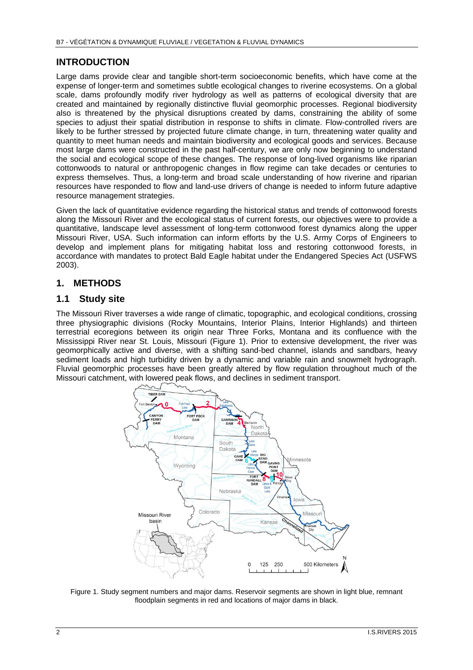#### **INTRODUCTION**

Large dams provide clear and tangible short-term socioeconomic benefits, which have come at the expense of longer-term and sometimes subtle ecological changes to riverine ecosystems. On a global scale, dams profoundly modify river hydrology as well as patterns of ecological diversity that are created and maintained by regionally distinctive fluvial geomorphic processes. Regional biodiversity also is threatened by the physical disruptions created by dams, constraining the ability of some species to adjust their spatial distribution in response to shifts in climate. Flow-controlled rivers are likely to be further stressed by projected future climate change, in turn, threatening water quality and quantity to meet human needs and maintain biodiversity and ecological goods and services. Because most large dams were constructed in the past half-century, we are only now beginning to understand the social and ecological scope of these changes. The response of long-lived organisms like riparian cottonwoods to natural or anthropogenic changes in flow regime can take decades or centuries to express themselves. Thus, a long-term and broad scale understanding of how riverine and riparian resources have responded to flow and land-use drivers of change is needed to inform future adaptive resource management strategies.

Given the lack of quantitative evidence regarding the historical status and trends of cottonwood forests along the Missouri River and the ecological status of current forests, our objectives were to provide a quantitative, landscape level assessment of long-term cottonwood forest dynamics along the upper Missouri River, USA. Such information can inform efforts by the U.S. Army Corps of Engineers to develop and implement plans for mitigating habitat loss and restoring cottonwood forests, in accordance with mandates to protect Bald Eagle habitat under the Endangered Species Act (USFWS 2003).

#### **1. METHODS**

#### **1.1 Study site**

The Missouri River traverses a wide range of climatic, topographic, and ecological conditions, crossing three physiographic divisions (Rocky Mountains, Interior Plains, Interior Highlands) and thirteen terrestrial ecoregions between its origin near Three Forks, Montana and its confluence with the Mississippi River near St. Louis, Missouri (Figure 1). Prior to extensive development, the river was geomorphically active and diverse, with a shifting sand-bed channel, islands and sandbars, heavy sediment loads and high turbidity driven by a dynamic and variable rain and snowmelt hydrograph. Fluvial geomorphic processes have been greatly altered by flow regulation throughout much of the Missouri catchment, with lowered peak flows, and declines in sediment transport.



Figure 1. Study segment numbers and major dams. Reservoir segments are shown in light blue, remnant floodplain segments in red and locations of major dams in black.